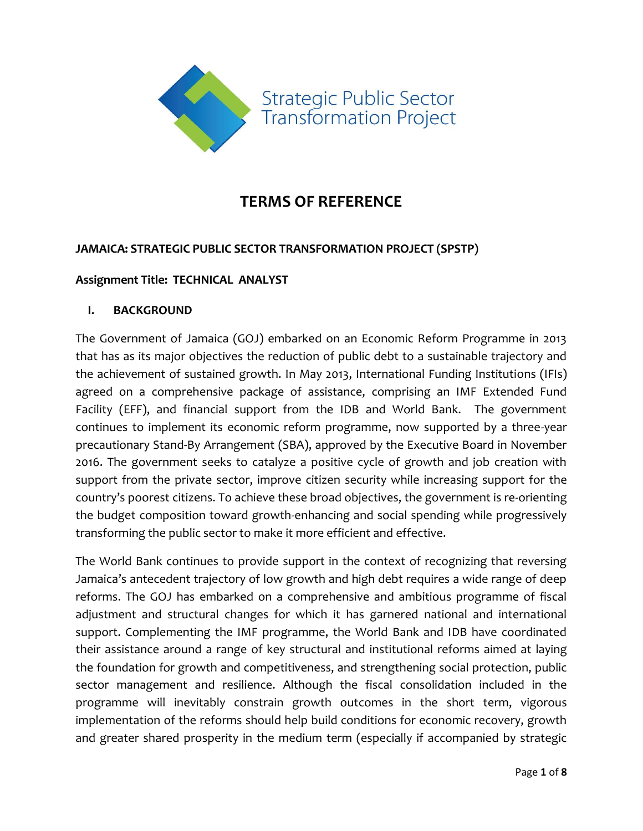

# **TERMS OF REFERENCE**

## **JAMAICA: STRATEGIC PUBLIC SECTOR TRANSFORMATION PROJECT (SPSTP)**

#### **Assignment Title: TECHNICAL ANALYST**

#### **I. BACKGROUND**

The Government of Jamaica (GOJ) embarked on an Economic Reform Programme in 2013 that has as its major objectives the reduction of public debt to a sustainable trajectory and the achievement of sustained growth. In May 2013, International Funding Institutions (IFIs) agreed on a comprehensive package of assistance, comprising an IMF Extended Fund Facility (EFF), and financial support from the IDB and World Bank. The government continues to implement its economic reform programme, now supported by a three-year precautionary Stand-By Arrangement (SBA), approved by the Executive Board in November 2016. The government seeks to catalyze a positive cycle of growth and job creation with support from the private sector, improve citizen security while increasing support for the country's poorest citizens. To achieve these broad objectives, the government is re-orienting the budget composition toward growth-enhancing and social spending while progressively transforming the public sector to make it more efficient and effective.

The World Bank continues to provide support in the context of recognizing that reversing Jamaica's antecedent trajectory of low growth and high debt requires a wide range of deep reforms. The GOJ has embarked on a comprehensive and ambitious programme of fiscal adjustment and structural changes for which it has garnered national and international support. Complementing the IMF programme, the World Bank and IDB have coordinated their assistance around a range of key structural and institutional reforms aimed at laying the foundation for growth and competitiveness, and strengthening social protection, public sector management and resilience. Although the fiscal consolidation included in the programme will inevitably constrain growth outcomes in the short term, vigorous implementation of the reforms should help build conditions for economic recovery, growth and greater shared prosperity in the medium term (especially if accompanied by strategic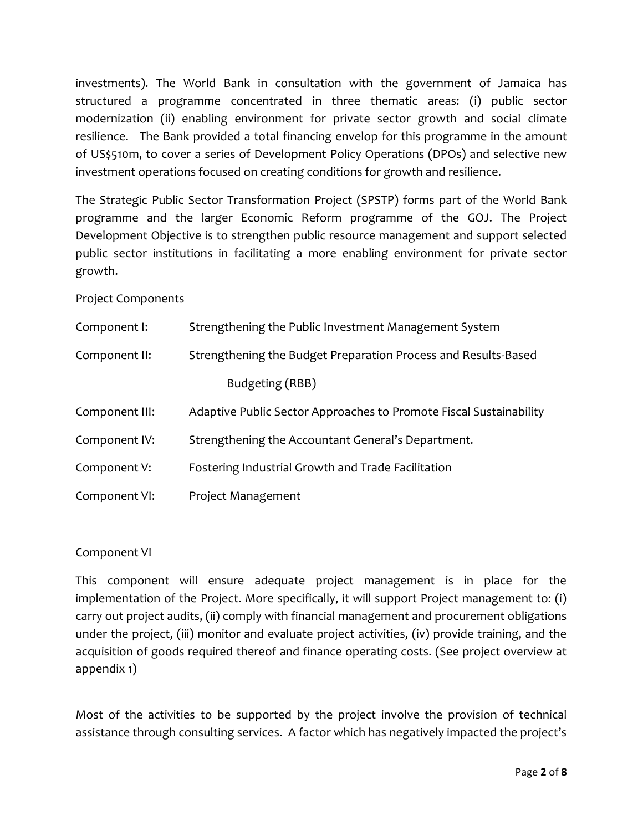investments). The World Bank in consultation with the government of Jamaica has structured a programme concentrated in three thematic areas: (i) public sector modernization (ii) enabling environment for private sector growth and social climate resilience. The Bank provided a total financing envelop for this programme in the amount of US\$510m, to cover a series of Development Policy Operations (DPOs) and selective new investment operations focused on creating conditions for growth and resilience.

The Strategic Public Sector Transformation Project (SPSTP) forms part of the World Bank programme and the larger Economic Reform programme of the GOJ. The Project Development Objective is to strengthen public resource management and support selected public sector institutions in facilitating a more enabling environment for private sector growth.

Project Components

| Component I:   | Strengthening the Public Investment Management System              |  |  |  |
|----------------|--------------------------------------------------------------------|--|--|--|
| Component II:  | Strengthening the Budget Preparation Process and Results-Based     |  |  |  |
|                | Budgeting (RBB)                                                    |  |  |  |
| Component III: | Adaptive Public Sector Approaches to Promote Fiscal Sustainability |  |  |  |
| Component IV:  | Strengthening the Accountant General's Department.                 |  |  |  |
| Component V:   | Fostering Industrial Growth and Trade Facilitation                 |  |  |  |
| Component VI:  | Project Management                                                 |  |  |  |

Component VI

This component will ensure adequate project management is in place for the implementation of the Project. More specifically, it will support Project management to: (i) carry out project audits, (ii) comply with financial management and procurement obligations under the project, (iii) monitor and evaluate project activities, (iv) provide training, and the acquisition of goods required thereof and finance operating costs. (See project overview at appendix 1)

Most of the activities to be supported by the project involve the provision of technical assistance through consulting services. A factor which has negatively impacted the project's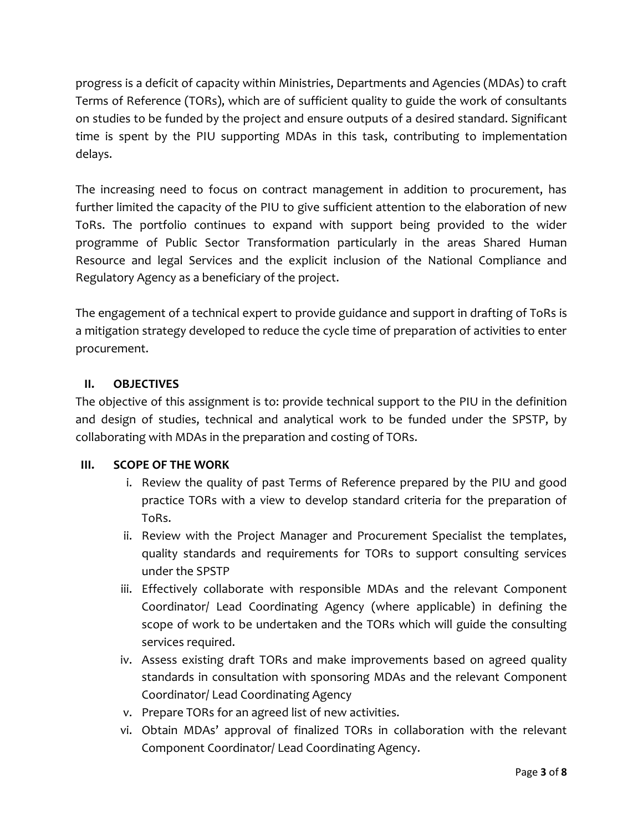progress is a deficit of capacity within Ministries, Departments and Agencies (MDAs) to craft Terms of Reference (TORs), which are of sufficient quality to guide the work of consultants on studies to be funded by the project and ensure outputs of a desired standard. Significant time is spent by the PIU supporting MDAs in this task, contributing to implementation delays.

The increasing need to focus on contract management in addition to procurement, has further limited the capacity of the PIU to give sufficient attention to the elaboration of new ToRs. The portfolio continues to expand with support being provided to the wider programme of Public Sector Transformation particularly in the areas Shared Human Resource and legal Services and the explicit inclusion of the National Compliance and Regulatory Agency as a beneficiary of the project.

The engagement of a technical expert to provide guidance and support in drafting of ToRs is a mitigation strategy developed to reduce the cycle time of preparation of activities to enter procurement.

# **II. OBJECTIVES**

The objective of this assignment is to: provide technical support to the PIU in the definition and design of studies, technical and analytical work to be funded under the SPSTP, by collaborating with MDAs in the preparation and costing of TORs.

# **III. SCOPE OF THE WORK**

- i. Review the quality of past Terms of Reference prepared by the PIU and good practice TORs with a view to develop standard criteria for the preparation of ToRs.
- ii. Review with the Project Manager and Procurement Specialist the templates, quality standards and requirements for TORs to support consulting services under the SPSTP
- iii. Effectively collaborate with responsible MDAs and the relevant Component Coordinator/ Lead Coordinating Agency (where applicable) in defining the scope of work to be undertaken and the TORs which will guide the consulting services required.
- iv. Assess existing draft TORs and make improvements based on agreed quality standards in consultation with sponsoring MDAs and the relevant Component Coordinator/ Lead Coordinating Agency
- v. Prepare TORs for an agreed list of new activities.
- vi. Obtain MDAs' approval of finalized TORs in collaboration with the relevant Component Coordinator/ Lead Coordinating Agency.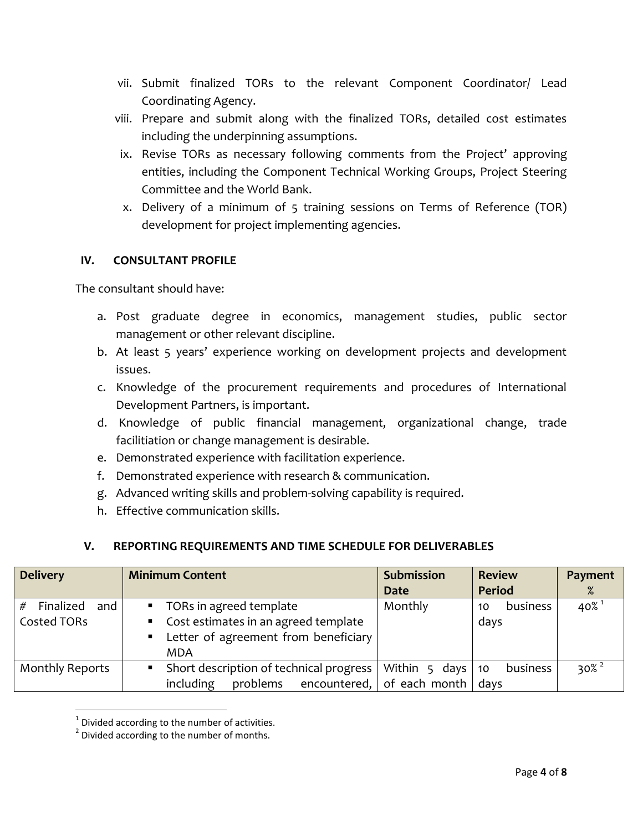- vii. Submit finalized TORs to the relevant Component Coordinator/ Lead Coordinating Agency.
- viii. Prepare and submit along with the finalized TORs, detailed cost estimates including the underpinning assumptions.
- ix. Revise TORs as necessary following comments from the Project' approving entities, including the Component Technical Working Groups, Project Steering Committee and the World Bank.
- x. Delivery of a minimum of 5 training sessions on Terms of Reference (TOR) development for project implementing agencies.

#### **IV. CONSULTANT PROFILE**

The consultant should have:

- a. Post graduate degree in economics, management studies, public sector management or other relevant discipline.
- b. At least 5 years' experience working on development projects and development issues.
- c. Knowledge of the procurement requirements and procedures of International Development Partners, is important.
- d. Knowledge of public financial management, organizational change, trade facilitiation or change management is desirable.
- e. Demonstrated experience with facilitation experience.
- f. Demonstrated experience with research & communication.
- g. Advanced writing skills and problem-solving capability is required.
- h. Effective communication skills.

#### **V. REPORTING REQUIREMENTS AND TIME SCHEDULE FOR DELIVERABLES**

| <b>Delivery</b>                   | <b>Minimum Content</b>                                                                                                               | <b>Submission</b><br><b>Date</b>            | <b>Review</b><br><b>Period</b> | Payment<br>%        |
|-----------------------------------|--------------------------------------------------------------------------------------------------------------------------------------|---------------------------------------------|--------------------------------|---------------------|
| Finalized<br>and  <br>Costed TORs | ■ TORs in agreed template<br>Cost estimates in an agreed template<br>$\blacksquare$ .<br>Letter of agreement from beneficiary<br>MDA | Monthly                                     | business<br>10<br>days         | $40\%$ <sup>1</sup> |
| <b>Monthly Reports</b>            | Short description of technical progress<br>problems encountered,<br>including                                                        | Within 5 days<br>of each month $\vert$ days | business<br>10                 | $30\%$ <sup>2</sup> |

 $1$  Divided according to the number of activities.

 $\overline{\phantom{a}}$ 

<sup>&</sup>lt;sup>2</sup> Divided according to the number of months.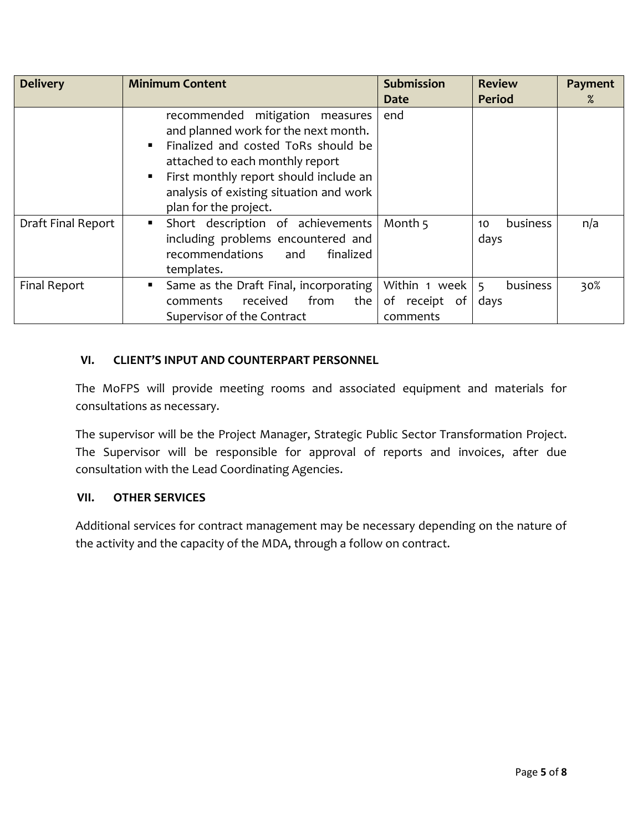| <b>Delivery</b>    | <b>Minimum Content</b>                                                                                                                                                                                                                                                    | <b>Submission</b>                            | <b>Review</b>          | Payment |
|--------------------|---------------------------------------------------------------------------------------------------------------------------------------------------------------------------------------------------------------------------------------------------------------------------|----------------------------------------------|------------------------|---------|
|                    |                                                                                                                                                                                                                                                                           | <b>Date</b>                                  | <b>Period</b>          | $\%$    |
|                    | recommended mitigation measures<br>and planned work for the next month.<br>Finalized and costed ToRs should be<br>п<br>attached to each monthly report<br>First monthly report should include an<br>п<br>analysis of existing situation and work<br>plan for the project. | end                                          |                        |         |
| Draft Final Report | Short description of achievements<br>п.<br>including problems encountered and<br>recommendations<br>finalized<br>and<br>templates.                                                                                                                                        | Month 5                                      | business<br>10<br>days | n/a     |
| Final Report       | Same as the Draft Final, incorporating<br>٠<br>from<br>the<br>received<br>comments<br>Supervisor of the Contract                                                                                                                                                          | Within 1 week  <br>of receipt of<br>comments | business<br>5<br>days  | 30%     |

## **VI. CLIENT'S INPUT AND COUNTERPART PERSONNEL**

The MoFPS will provide meeting rooms and associated equipment and materials for consultations as necessary.

The supervisor will be the Project Manager, Strategic Public Sector Transformation Project. The Supervisor will be responsible for approval of reports and invoices, after due consultation with the Lead Coordinating Agencies.

#### **VII. OTHER SERVICES**

Additional services for contract management may be necessary depending on the nature of the activity and the capacity of the MDA, through a follow on contract.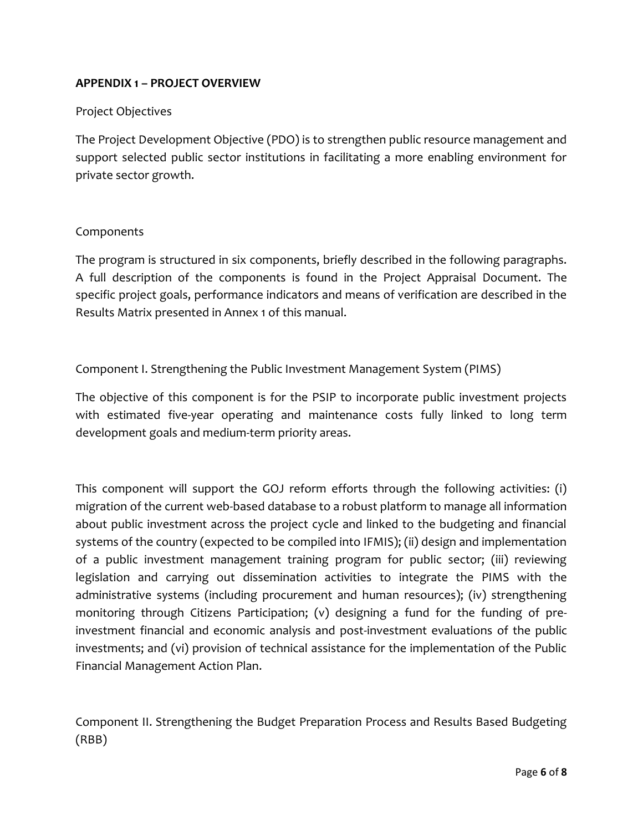## **APPENDIX 1 – PROJECT OVERVIEW**

#### Project Objectives

The Project Development Objective (PDO) is to strengthen public resource management and support selected public sector institutions in facilitating a more enabling environment for private sector growth.

#### Components

The program is structured in six components, briefly described in the following paragraphs. A full description of the components is found in the Project Appraisal Document. The specific project goals, performance indicators and means of verification are described in the Results Matrix presented in Annex 1 of this manual.

#### Component I. Strengthening the Public Investment Management System (PIMS)

The objective of this component is for the PSIP to incorporate public investment projects with estimated five-year operating and maintenance costs fully linked to long term development goals and medium-term priority areas.

This component will support the GOJ reform efforts through the following activities: (i) migration of the current web-based database to a robust platform to manage all information about public investment across the project cycle and linked to the budgeting and financial systems of the country (expected to be compiled into IFMIS); (ii) design and implementation of a public investment management training program for public sector; (iii) reviewing legislation and carrying out dissemination activities to integrate the PIMS with the administrative systems (including procurement and human resources); (iv) strengthening monitoring through Citizens Participation; (v) designing a fund for the funding of preinvestment financial and economic analysis and post-investment evaluations of the public investments; and (vi) provision of technical assistance for the implementation of the Public Financial Management Action Plan.

Component II. Strengthening the Budget Preparation Process and Results Based Budgeting (RBB)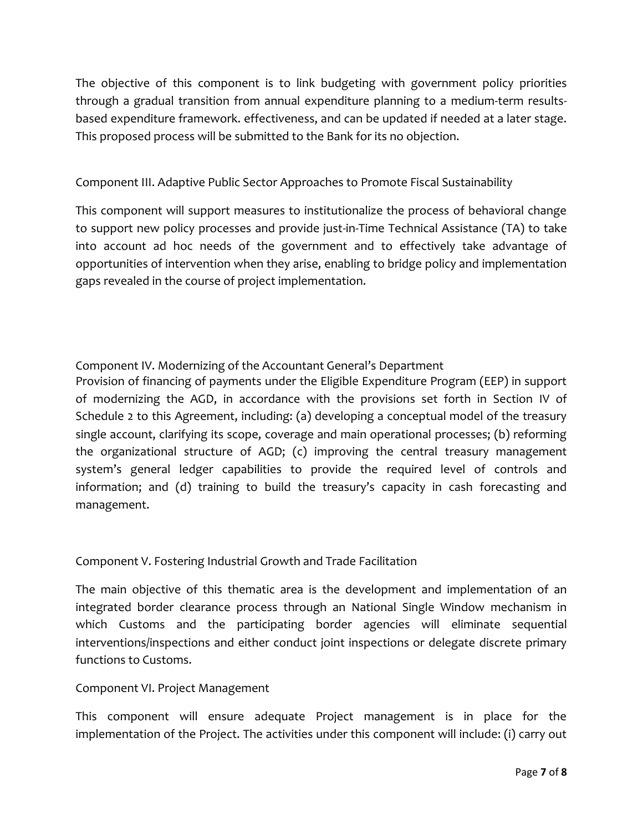The objective of this component is to link budgeting with government policy priorities through a gradual transition from annual expenditure planning to a medium-term resultsbased expenditure framework. effectiveness, and can be updated if needed at a later stage. This proposed process will be submitted to the Bank for its no objection.

## Component III. Adaptive Public Sector Approaches to Promote Fiscal Sustainability

This component will support measures to institutionalize the process of behavioral change to support new policy processes and provide just-in-Time Technical Assistance (TA) to take into account ad hoc needs of the government and to effectively take advantage of opportunities of intervention when they arise, enabling to bridge policy and implementation gaps revealed in the course of project implementation.

## Component IV. Modernizing of the Accountant General's Department

Provision of financing of payments under the Eligible Expenditure Program (EEP) in support of modernizing the AGD, in accordance with the provisions set forth in Section IV of Schedule 2 to this Agreement, including: (a) developing a conceptual model of the treasury single account, clarifying its scope, coverage and main operational processes; (b) reforming the organizational structure of AGD; (c) improving the central treasury management system's general ledger capabilities to provide the required level of controls and information; and (d) training to build the treasury's capacity in cash forecasting and management.

#### Component V. Fostering Industrial Growth and Trade Facilitation

The main objective of this thematic area is the development and implementation of an integrated border clearance process through an National Single Window mechanism in which Customs and the participating border agencies will eliminate sequential interventions/inspections and either conduct joint inspections or delegate discrete primary functions to Customs.

#### Component VI. Project Management

This component will ensure adequate Project management is in place for the implementation of the Project. The activities under this component will include: (i) carry out